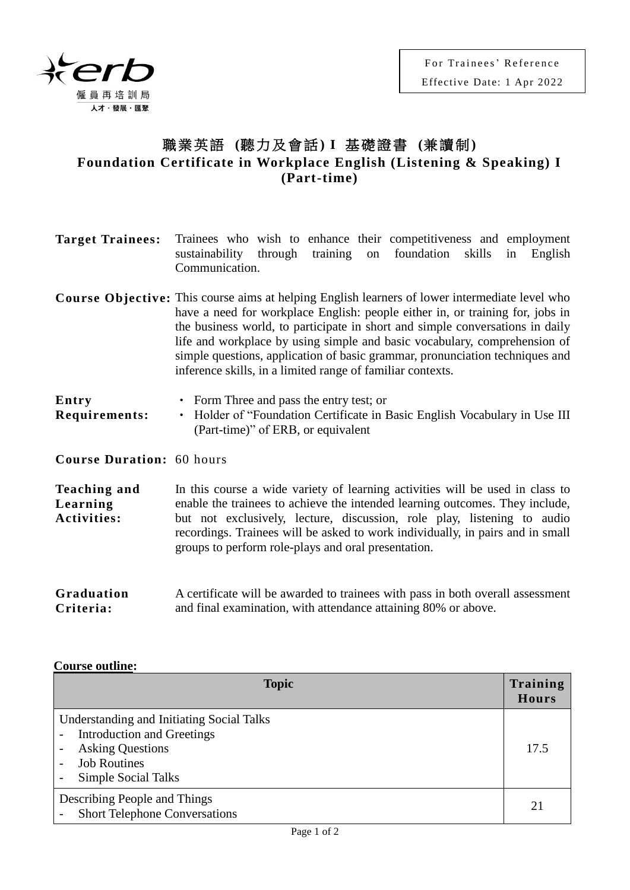

## 職業英語 **(**聽力及會話**) I** 基礎證書 **(**兼讀制**) Foundation Certificate in Workplace English (Listening & Speaking) I (Part-time)**

| <b>Target Trainees:</b>                        | Trainees who wish to enhance their competitiveness and employment<br>sustainability through training<br>foundation<br>skills<br>in<br>English<br>on<br>Communication.                                                                                                                                                                                                                                                                                                                              |  |  |
|------------------------------------------------|----------------------------------------------------------------------------------------------------------------------------------------------------------------------------------------------------------------------------------------------------------------------------------------------------------------------------------------------------------------------------------------------------------------------------------------------------------------------------------------------------|--|--|
|                                                | <b>Course Objective:</b> This course aims at helping English learners of lower intermediate level who<br>have a need for workplace English: people either in, or training for, jobs in<br>the business world, to participate in short and simple conversations in daily<br>life and workplace by using simple and basic vocabulary, comprehension of<br>simple questions, application of basic grammar, pronunciation techniques and<br>inference skills, in a limited range of familiar contexts. |  |  |
| Entry<br>Requirements:                         | • Form Three and pass the entry test; or<br>Holder of "Foundation Certificate in Basic English Vocabulary in Use III<br>$\bullet$<br>(Part-time)" of ERB, or equivalent                                                                                                                                                                                                                                                                                                                            |  |  |
| <b>Course Duration: 60 hours</b>               |                                                                                                                                                                                                                                                                                                                                                                                                                                                                                                    |  |  |
| <b>Teaching and</b><br>Learning<br>Activities: | In this course a wide variety of learning activities will be used in class to<br>enable the trainees to achieve the intended learning outcomes. They include,<br>but not exclusively, lecture, discussion, role play, listening to audio<br>recordings. Trainees will be asked to work individually, in pairs and in small<br>groups to perform role-plays and oral presentation.                                                                                                                  |  |  |
| Graduation                                     | A certificate will be awarded to trainees with pass in both overall assessment                                                                                                                                                                                                                                                                                                                                                                                                                     |  |  |

**Criteria:** and final examination, with attendance attaining 80% or above.

## **Course outline:**

| <b>Topic</b>                                                                                                                                            | Training<br>Hours |
|---------------------------------------------------------------------------------------------------------------------------------------------------------|-------------------|
| Understanding and Initiating Social Talks<br><b>Introduction and Greetings</b><br><b>Asking Questions</b><br><b>Job Routines</b><br>Simple Social Talks |                   |
| Describing People and Things<br><b>Short Telephone Conversations</b>                                                                                    |                   |